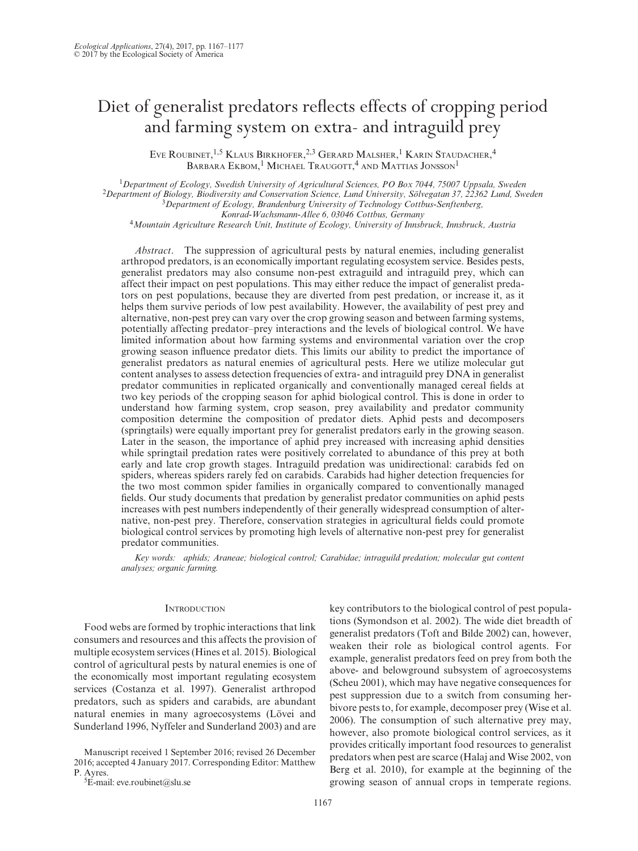# Diet of generalist predators reflects effects of cropping period and farming system on extra- and intraguild prey

Eve Roubinet, <sup>1,5</sup> Klaus Birkhofer, <sup>2,3</sup> Gerard Malsher, <sup>1</sup> Karin Staudacher, <sup>4</sup> BARBARA EKBOM,<sup>1</sup> MICHAEL TRAUGOTT,<sup>4</sup> AND MATTIAS JONSSON<sup>1</sup>

<sup>1</sup>Department of Ecology, Swedish University of Agricultural Sciences, PO Box 7044, 75007 Uppsala, Sweden<sup>2</sup>Department of Biology, Biodiversity and Conservation Science, Lund University, Sölvegatan 37, 22362 Lund, Sweden<sup></sup> *Konrad-Wachsmann-Allee 6, 03046 Cottbus, Germany* <sup>4</sup>*Mountain Agriculture Research Unit, Institute of Ecology, University of Innsbruck, Innsbruck, Austria*

*Abstract*. The suppression of agricultural pests by natural enemies, including generalist arthropod predators, is an economically important regulating ecosystem service. Besides pests, generalist predators may also consume non-pest extraguild and intraguild prey, which can affect their impact on pest populations. This may either reduce the impact of generalist predators on pest populations, because they are diverted from pest predation, or increase it, as it helps them survive periods of low pest availability. However, the availability of pest prey and alternative, non-pest prey can vary over the crop growing season and between farming systems, potentially affecting predator–prey interactions and the levels of biological control. We have limited information about how farming systems and environmental variation over the crop growing season influence predator diets. This limits our ability to predict the importance of generalist predators as natural enemies of agricultural pests. Here we utilize molecular gut content analyses to assess detection frequencies of extra- and intraguild prey DNA in generalist predator communities in replicated organically and conventionally managed cereal fields at two key periods of the cropping season for aphid biological control. This is done in order to understand how farming system, crop season, prey availability and predator community composition determine the composition of predator diets. Aphid pests and decomposers (springtails) were equally important prey for generalist predators early in the growing season. Later in the season, the importance of aphid prey increased with increasing aphid densities while springtail predation rates were positively correlated to abundance of this prey at both early and late crop growth stages. Intraguild predation was unidirectional: carabids fed on spiders, whereas spiders rarely fed on carabids. Carabids had higher detection frequencies for the two most common spider families in organically compared to conventionally managed fields. Our study documents that predation by generalist predator communities on aphid pests increases with pest numbers independently of their generally widespread consumption of alternative, non-pest prey. Therefore, conservation strategies in agricultural fields could promote biological control services by promoting high levels of alternative non-pest prey for generalist predator communities.

*Key words: aphids; Araneae; biological control; Carabidae; intraguild predation; molecular gut content analyses; organic farming.*

## **INTRODUCTION**

Food webs are formed by trophic interactions that link consumers and resources and this affects the provision of multiple ecosystem services (Hines et al. 2015). Biological control of agricultural pests by natural enemies is one of the economically most important regulating ecosystem services (Costanza et al. 1997). Generalist arthropod predators, such as spiders and carabids, are abundant natural enemies in many agroecosystems (Lövei and Sunderland 1996, Nyffeler and Sunderland 2003) and are

Manuscript received 1 September 2016; revised 26 December 2016; accepted 4 January 2017. Corresponding Editor: Matthew P. Ayres.<br><sup>5</sup>E-mail: [eve.roubinet@slu.se](mailto:eve.roubinet@slu.se)

key contributors to the biological control of pest populations (Symondson et al. 2002). The wide diet breadth of generalist predators (Toft and Bilde 2002) can, however, weaken their role as biological control agents. For example, generalist predators feed on prey from both the above- and belowground subsystem of agroecosystems (Scheu 2001), which may have negative consequences for pest suppression due to a switch from consuming herbivore pests to, for example, decomposer prey (Wise et al. 2006). The consumption of such alternative prey may, however, also promote biological control services, as it provides critically important food resources to generalist predators when pest are scarce (Halaj and Wise 2002, von Berg et al. 2010), for example at the beginning of the growing season of annual crops in temperate regions.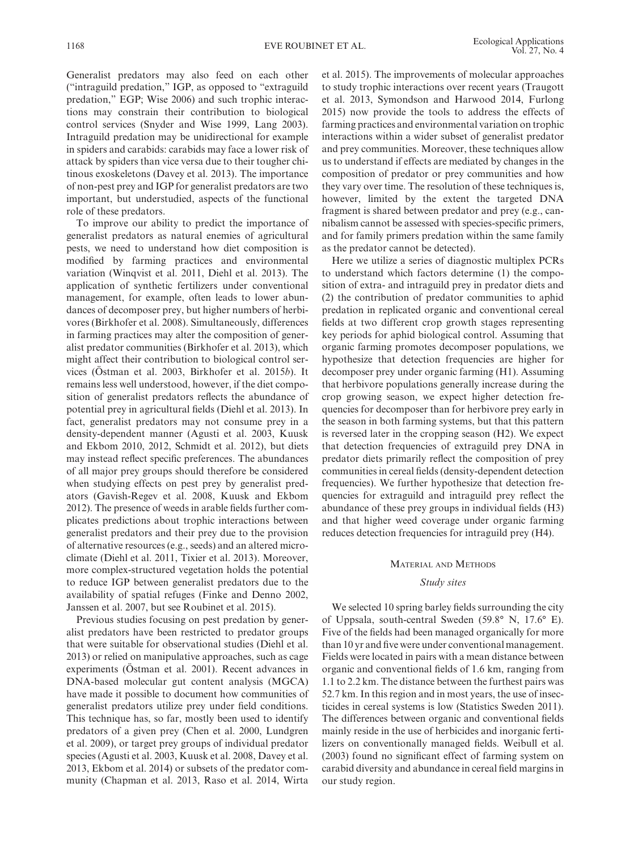Generalist predators may also feed on each other ("intraguild predation," IGP, as opposed to "extraguild predation," EGP; Wise 2006) and such trophic interactions may constrain their contribution to biological control services (Snyder and Wise 1999, Lang 2003). Intraguild predation may be unidirectional for example in spiders and carabids: carabids may face a lower risk of attack by spiders than vice versa due to their tougher chitinous exoskeletons (Davey et al. 2013). The importance of non-pest prey and IGP for generalist predators are two important, but understudied, aspects of the functional role of these predators.

To improve our ability to predict the importance of generalist predators as natural enemies of agricultural pests, we need to understand how diet composition is modified by farming practices and environmental variation (Winqvist et al. 2011, Diehl et al. 2013). The application of synthetic fertilizers under conventional management, for example, often leads to lower abundances of decomposer prey, but higher numbers of herbivores (Birkhofer et al. 2008). Simultaneously, differences in farming practices may alter the composition of generalist predator communities (Birkhofer et al. 2013), which might affect their contribution to biological control services (Östman et al. 2003, Birkhofer et al. 2015*b*). It remains less well understood, however, if the diet composition of generalist predators reflects the abundance of potential prey in agricultural fields (Diehl et al. 2013). In fact, generalist predators may not consume prey in a density-dependent manner (Agusti et al. 2003, Kuusk and Ekbom 2010, 2012, Schmidt et al. 2012), but diets may instead reflect specific preferences. The abundances of all major prey groups should therefore be considered when studying effects on pest prey by generalist predators (Gavish-Regev et al. 2008, Kuusk and Ekbom 2012). The presence of weeds in arable fields further complicates predictions about trophic interactions between generalist predators and their prey due to the provision of alternative resources (e.g., seeds) and an altered microclimate (Diehl et al. 2011, Tixier et al. 2013). Moreover, more complex-structured vegetation holds the potential to reduce IGP between generalist predators due to the availability of spatial refuges (Finke and Denno 2002, Janssen et al. 2007, but see Roubinet et al. 2015).

Previous studies focusing on pest predation by generalist predators have been restricted to predator groups that were suitable for observational studies (Diehl et al. 2013) or relied on manipulative approaches, such as cage experiments (Östman et al. 2001). Recent advances in DNA-based molecular gut content analysis (MGCA) have made it possible to document how communities of generalist predators utilize prey under field conditions. This technique has, so far, mostly been used to identify predators of a given prey (Chen et al. 2000, Lundgren et al. 2009), or target prey groups of individual predator species (Agusti et al. 2003, Kuusk et al. 2008, Davey et al. 2013, Ekbom et al. 2014) or subsets of the predator community (Chapman et al. 2013, Raso et al. 2014, Wirta

et al. 2015). The improvements of molecular approaches to study trophic interactions over recent years (Traugott et al. 2013, Symondson and Harwood 2014, Furlong 2015) now provide the tools to address the effects of farming practices and environmental variation on trophic interactions within a wider subset of generalist predator and prey communities. Moreover, these techniques allow us to understand if effects are mediated by changes in the composition of predator or prey communities and how they vary over time. The resolution of these techniques is, however, limited by the extent the targeted DNA fragment is shared between predator and prey (e.g., cannibalism cannot be assessed with species-specific primers, and for family primers predation within the same family as the predator cannot be detected).

Here we utilize a series of diagnostic multiplex PCRs to understand which factors determine (1) the composition of extra- and intraguild prey in predator diets and (2) the contribution of predator communities to aphid predation in replicated organic and conventional cereal fields at two different crop growth stages representing key periods for aphid biological control. Assuming that organic farming promotes decomposer populations, we hypothesize that detection frequencies are higher for decomposer prey under organic farming (H1). Assuming that herbivore populations generally increase during the crop growing season, we expect higher detection frequencies for decomposer than for herbivore prey early in the season in both farming systems, but that this pattern is reversed later in the cropping season (H2). We expect that detection frequencies of extraguild prey DNA in predator diets primarily reflect the composition of prey communities in cereal fields (density-dependent detection frequencies). We further hypothesize that detection frequencies for extraguild and intraguild prey reflect the abundance of these prey groups in individual fields (H3) and that higher weed coverage under organic farming reduces detection frequencies for intraguild prey (H4).

#### Material and Methods

## *Study sites*

We selected 10 spring barley fields surrounding the city of Uppsala, south-central Sweden (59.8° N, 17.6° E). Five of the fields had been managed organically for more than 10 yr and five were under conventional management. Fields were located in pairs with a mean distance between organic and conventional fields of 1.6 km, ranging from 1.1 to 2.2 km. The distance between the furthest pairs was 52.7 km. In this region and in most years, the use of insecticides in cereal systems is low (Statistics Sweden 2011). The differences between organic and conventional fields mainly reside in the use of herbicides and inorganic fertilizers on conventionally managed fields. Weibull et al. (2003) found no significant effect of farming system on carabid diversity and abundance in cereal field margins in our study region.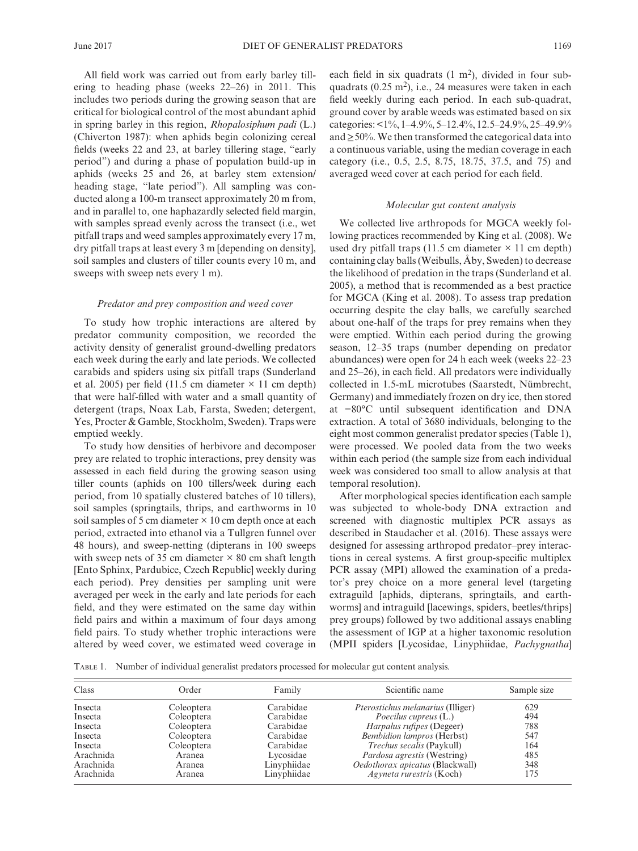All field work was carried out from early barley tillering to heading phase (weeks 22–26) in 2011. This includes two periods during the growing season that are critical for biological control of the most abundant aphid in spring barley in this region, *Rhopalosiphum padi* (L.) (Chiverton 1987): when aphids begin colonizing cereal fields (weeks 22 and 23, at barley tillering stage, "early period") and during a phase of population build-up in aphids (weeks 25 and 26, at barley stem extension/ heading stage, "late period"). All sampling was conducted along a 100-m transect approximately 20 m from, and in parallel to, one haphazardly selected field margin, with samples spread evenly across the transect (i.e., wet pitfall traps and weed samples approximately every 17 m, dry pitfall traps at least every 3 m [depending on density], soil samples and clusters of tiller counts every 10 m, and sweeps with sweep nets every 1 m).

# *Predator and prey composition and weed cover*

To study how trophic interactions are altered by predator community composition, we recorded the activity density of generalist ground-dwelling predators each week during the early and late periods. We collected carabids and spiders using six pitfall traps (Sunderland et al. 2005) per field (11.5 cm diameter  $\times$  11 cm depth) that were half-filled with water and a small quantity of detergent (traps, Noax Lab, Farsta, Sweden; detergent, Yes, Procter & Gamble, Stockholm, Sweden). Traps were emptied weekly.

To study how densities of herbivore and decomposer prey are related to trophic interactions, prey density was assessed in each field during the growing season using tiller counts (aphids on 100 tillers/week during each period, from 10 spatially clustered batches of 10 tillers), soil samples (springtails, thrips, and earthworms in 10 soil samples of 5 cm diameter  $\times$  10 cm depth once at each period, extracted into ethanol via a Tullgren funnel over 48 hours), and sweep-netting (dipterans in 100 sweeps with sweep nets of 35 cm diameter  $\times$  80 cm shaft length [Ento Sphinx, Pardubice, Czech Republic] weekly during each period). Prey densities per sampling unit were averaged per week in the early and late periods for each field, and they were estimated on the same day within field pairs and within a maximum of four days among field pairs. To study whether trophic interactions were altered by weed cover, we estimated weed coverage in each field in six quadrats  $(1 \text{ m}^2)$ , divided in four subquadrats  $(0.25 \text{ m}^2)$ , i.e., 24 measures were taken in each field weekly during each period. In each sub-quadrat, ground cover by arable weeds was estimated based on six categories: <1%, 1–4.9%, 5–12.4%, 12.5–24.9%, 25–49.9% and  $\geq 50\%$ . We then transformed the categorical data into a continuous variable, using the median coverage in each category (i.e., 0.5, 2.5, 8.75, 18.75, 37.5, and 75) and averaged weed cover at each period for each field.

# *Molecular gut content analysis*

We collected live arthropods for MGCA weekly following practices recommended by King et al. (2008). We used dry pitfall traps (11.5 cm diameter  $\times$  11 cm depth) containing clay balls (Weibulls, Åby, Sweden) to decrease the likelihood of predation in the traps (Sunderland et al. 2005), a method that is recommended as a best practice for MGCA (King et al. 2008). To assess trap predation occurring despite the clay balls, we carefully searched about one-half of the traps for prey remains when they were emptied. Within each period during the growing season, 12–35 traps (number depending on predator abundances) were open for 24 h each week (weeks 22–23 and 25–26), in each field. All predators were individually collected in 1.5-mL microtubes (Saarstedt, Nümbrecht, Germany) and immediately frozen on dry ice, then stored at −80°C until subsequent identification and DNA extraction. A total of 3680 individuals, belonging to the eight most common generalist predator species (Table 1), were processed. We pooled data from the two weeks within each period (the sample size from each individual week was considered too small to allow analysis at that temporal resolution).

After morphological species identification each sample was subjected to whole-body DNA extraction and screened with diagnostic multiplex PCR assays as described in Staudacher et al. (2016). These assays were designed for assessing arthropod predator–prey interactions in cereal systems. A first group-specific multiplex PCR assay (MPI) allowed the examination of a predator's prey choice on a more general level (targeting extraguild [aphids, dipterans, springtails, and earthworms] and intraguild [lacewings, spiders, beetles/thrips] prey groups) followed by two additional assays enabling the assessment of IGP at a higher taxonomic resolution (MPII spiders [Lycosidae, Linyphiidae, *Pachygnatha*]

Table 1. Number of individual generalist predators processed for molecular gut content analysis.

| Class     | Order      | Family      | Scientific name                   | Sample size |
|-----------|------------|-------------|-----------------------------------|-------------|
| Insecta   | Coleoptera | Carabidae   | Pterostichus melanarius (Illiger) | 629         |
| Insecta   | Coleoptera | Carabidae   | Poecilus cupreus $(L)$            | 494         |
| Insecta   | Coleoptera | Carabidae   | <i>Harpalus rufipes</i> (Degeer)  | 788         |
| Insecta   | Coleoptera | Carabidae   | <b>Bembidion lampros (Herbst)</b> | 547         |
| Insecta   | Coleoptera | Carabidae   | <i>Trechus secalis</i> (Paykull)  | 164         |
| Arachnida | Aranea     | Lycosidae   | Pardosa agrestis (Westring)       | 485         |
| Arachnida | Aranea     | Linyphiidae | Oedothorax apicatus (Blackwall)   | 348         |
| Arachnida | Aranea     | Linyphiidae | <i>Agyneta rurestris</i> (Koch)   | 175         |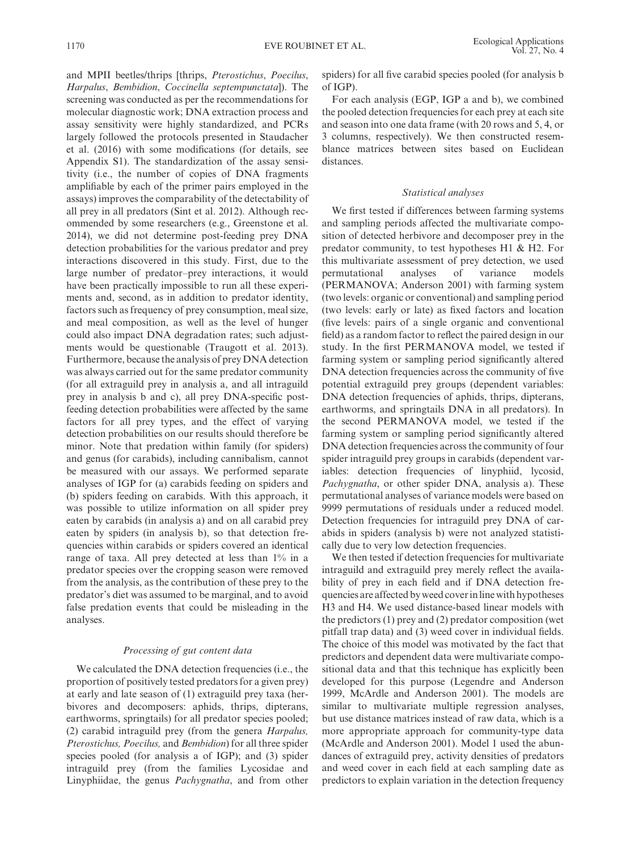and MPII beetles/thrips [thrips, *Pterostichus*, *Poecilus*, *Harpalus*, *Bembidion*, *Coccinella septempunctata*]). The screening was conducted as per the recommendations for molecular diagnostic work; DNA extraction process and assay sensitivity were highly standardized, and PCRs largely followed the protocols presented in Staudacher et al. (2016) with some modifications (for details, see Appendix S1). The standardization of the assay sensitivity (i.e., the number of copies of DNA fragments amplifiable by each of the primer pairs employed in the assays) improves the comparability of the detectability of all prey in all predators (Sint et al. 2012). Although recommended by some researchers (e.g., Greenstone et al. 2014), we did not determine post-feeding prey DNA detection probabilities for the various predator and prey interactions discovered in this study. First, due to the large number of predator–prey interactions, it would have been practically impossible to run all these experiments and, second, as in addition to predator identity, factors such as frequency of prey consumption, meal size, and meal composition, as well as the level of hunger could also impact DNA degradation rates; such adjustments would be questionable (Traugott et al. 2013). Furthermore, because the analysis of prey DNA detection was always carried out for the same predator community (for all extraguild prey in analysis a, and all intraguild prey in analysis b and c), all prey DNA-specific postfeeding detection probabilities were affected by the same factors for all prey types, and the effect of varying detection probabilities on our results should therefore be minor. Note that predation within family (for spiders) and genus (for carabids), including cannibalism, cannot be measured with our assays. We performed separate analyses of IGP for (a) carabids feeding on spiders and (b) spiders feeding on carabids. With this approach, it was possible to utilize information on all spider prey eaten by carabids (in analysis a) and on all carabid prey eaten by spiders (in analysis b), so that detection frequencies within carabids or spiders covered an identical range of taxa. All prey detected at less than 1% in a predator species over the cropping season were removed from the analysis, as the contribution of these prey to the predator's diet was assumed to be marginal, and to avoid false predation events that could be misleading in the analyses.

# *Processing of gut content data*

We calculated the DNA detection frequencies (i.e., the proportion of positively tested predators for a given prey) at early and late season of (1) extraguild prey taxa (herbivores and decomposers: aphids, thrips, dipterans, earthworms, springtails) for all predator species pooled; (2) carabid intraguild prey (from the genera *Harpalus, Pterostichus, Poecilus,* and *Bembidion*) for all three spider species pooled (for analysis a of IGP); and (3) spider intraguild prey (from the families Lycosidae and Linyphiidae, the genus *Pachygnatha*, and from other spiders) for all five carabid species pooled (for analysis b of IGP).

For each analysis (EGP, IGP a and b), we combined the pooled detection frequencies for each prey at each site and season into one data frame (with 20 rows and 5, 4, or 3 columns, respectively). We then constructed resemblance matrices between sites based on Euclidean distances.

## *Statistical analyses*

We first tested if differences between farming systems and sampling periods affected the multivariate composition of detected herbivore and decomposer prey in the predator community, to test hypotheses H1 & H2. For this multivariate assessment of prey detection, we used permutational analyses of variance models (PERMANOVA; Anderson 2001) with farming system (two levels: organic or conventional) and sampling period (two levels: early or late) as fixed factors and location (five levels: pairs of a single organic and conventional field) as a random factor to reflect the paired design in our study. In the first PERMANOVA model, we tested if farming system or sampling period significantly altered DNA detection frequencies across the community of five potential extraguild prey groups (dependent variables: DNA detection frequencies of aphids, thrips, dipterans, earthworms, and springtails DNA in all predators). In the second PERMANOVA model, we tested if the farming system or sampling period significantly altered DNA detection frequencies across the community of four spider intraguild prey groups in carabids (dependent variables: detection frequencies of linyphiid, lycosid, *Pachygnatha*, or other spider DNA, analysis a). These permutational analyses of variance models were based on 9999 permutations of residuals under a reduced model. Detection frequencies for intraguild prey DNA of carabids in spiders (analysis b) were not analyzed statistically due to very low detection frequencies.

We then tested if detection frequencies for multivariate intraguild and extraguild prey merely reflect the availability of prey in each field and if DNA detection frequencies are affected by weed cover in line with hypotheses H3 and H4. We used distance-based linear models with the predictors (1) prey and (2) predator composition (wet pitfall trap data) and (3) weed cover in individual fields. The choice of this model was motivated by the fact that predictors and dependent data were multivariate compositional data and that this technique has explicitly been developed for this purpose (Legendre and Anderson 1999, McArdle and Anderson 2001). The models are similar to multivariate multiple regression analyses, but use distance matrices instead of raw data, which is a more appropriate approach for community-type data (McArdle and Anderson 2001). Model 1 used the abundances of extraguild prey, activity densities of predators and weed cover in each field at each sampling date as predictors to explain variation in the detection frequency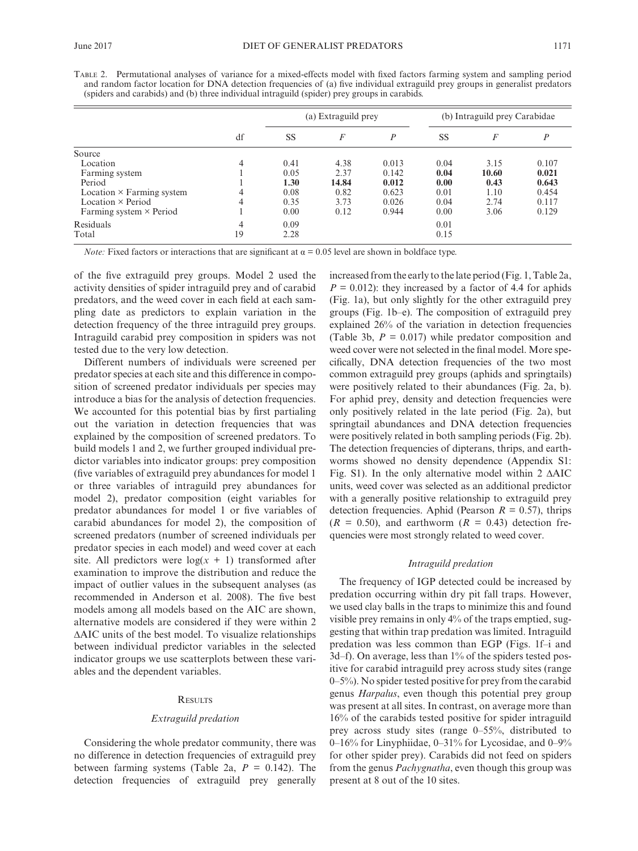Source<br>Location

Location  $\times$  Period

| (spiders and carabids) and (b) three individual intraguild (spider) prey groups in carabids. |    |                     |      |       |                               |       |       |
|----------------------------------------------------------------------------------------------|----|---------------------|------|-------|-------------------------------|-------|-------|
|                                                                                              |    | (a) Extraguild prey |      |       | (b) Intraguild prey Carabidae |       |       |
|                                                                                              | df | SS                  |      |       | SS                            |       |       |
| purce<br>Location                                                                            |    | 0.41                | 4.38 | 0.013 | 0.04                          | 3. IS | 0.107 |

Table 2. Permutational analyses of variance for a mixed-effects model with fixed factors farming system and sampling period and random factor location for DNA detection frequencies of (a) five individual extraguild prey groups in generalist predators (spiders and carabids)

Farming system 1 0.05 2.37 0.142 **0.04 10.60 0.021** Period 1 **1.30 14.84 0.012 0.00 0.43 0.643** Location × Farming system  $\begin{array}{cccc} 4 & 0.08 & 0.82 & 0.623 & 0.01 & 1.10 & 0.454 \\ \text{Location} \times \text{Period} & 4 & 0.35 & 3.73 & 0.026 & 0.04 & 2.74 & 0.117 \end{array}$ 

Farming system × Period 1 0.00 0.12 0.944 0.00 3.06 0.129

Total 19 2.28 0.15 *Note:* Fixed factors or interactions that are significant at  $\alpha = 0.05$  level are shown in boldface type.

Residuals  $\begin{array}{ccc} 4 & 0.09 & \phantom{00}0.01 \end{array}$ 

of the five extraguild prey groups. Model 2 used the activity densities of spider intraguild prey and of carabid predators, and the weed cover in each field at each sampling date as predictors to explain variation in the detection frequency of the three intraguild prey groups. Intraguild carabid prey composition in spiders was not tested due to the very low detection.

Different numbers of individuals were screened per predator species at each site and this difference in composition of screened predator individuals per species may introduce a bias for the analysis of detection frequencies. We accounted for this potential bias by first partialing out the variation in detection frequencies that was explained by the composition of screened predators. To build models 1 and 2, we further grouped individual predictor variables into indicator groups: prey composition (five variables of extraguild prey abundances for model 1 or three variables of intraguild prey abundances for model 2), predator composition (eight variables for predator abundances for model 1 or five variables of carabid abundances for model 2), the composition of screened predators (number of screened individuals per predator species in each model) and weed cover at each site. All predictors were  $log(x + 1)$  transformed after examination to improve the distribution and reduce the impact of outlier values in the subsequent analyses (as recommended in Anderson et al. 2008). The five best models among all models based on the AIC are shown, alternative models are considered if they were within 2 ∆AIC units of the best model. To visualize relationships between individual predictor variables in the selected indicator groups we use scatterplots between these variables and the dependent variables.

# **RESULTS**

## *Extraguild predation*

Considering the whole predator community, there was no difference in detection frequencies of extraguild prey between farming systems (Table 2a,  $P = 0.142$ ). The detection frequencies of extraguild prey generally increased from the early to the late period (Fig. 1, Table 2a,  $P = 0.012$ : they increased by a factor of 4.4 for aphids (Fig. 1a), but only slightly for the other extraguild prey groups (Fig. 1b–e). The composition of extraguild prey explained 26% of the variation in detection frequencies (Table 3b,  $P = 0.017$ ) while predator composition and weed cover were not selected in the final model. More specifically, DNA detection frequencies of the two most common extraguild prey groups (aphids and springtails) were positively related to their abundances (Fig. 2a, b). For aphid prey, density and detection frequencies were only positively related in the late period (Fig. 2a), but springtail abundances and DNA detection frequencies were positively related in both sampling periods (Fig. 2b). The detection frequencies of dipterans, thrips, and earthworms showed no density dependence (Appendix S1: Fig. S1). In the only alternative model within 2 ∆AIC units, weed cover was selected as an additional predictor with a generally positive relationship to extraguild prey detection frequencies. Aphid (Pearson  $R = 0.57$ ), thrips  $(R = 0.50)$ , and earthworm  $(R = 0.43)$  detection frequencies were most strongly related to weed cover.

#### *Intraguild predation*

The frequency of IGP detected could be increased by predation occurring within dry pit fall traps. However, we used clay balls in the traps to minimize this and found visible prey remains in only 4% of the traps emptied, suggesting that within trap predation was limited. Intraguild predation was less common than EGP (Figs. 1f–i and 3d–f). On average, less than 1% of the spiders tested positive for carabid intraguild prey across study sites (range 0–5%). No spider tested positive for prey from the carabid genus *Harpalus*, even though this potential prey group was present at all sites. In contrast, on average more than 16% of the carabids tested positive for spider intraguild prey across study sites (range 0–55%, distributed to 0–16% for Linyphiidae, 0–31% for Lycosidae, and 0–9% for other spider prey). Carabids did not feed on spiders from the genus *Pachygnatha*, even though this group was present at 8 out of the 10 sites.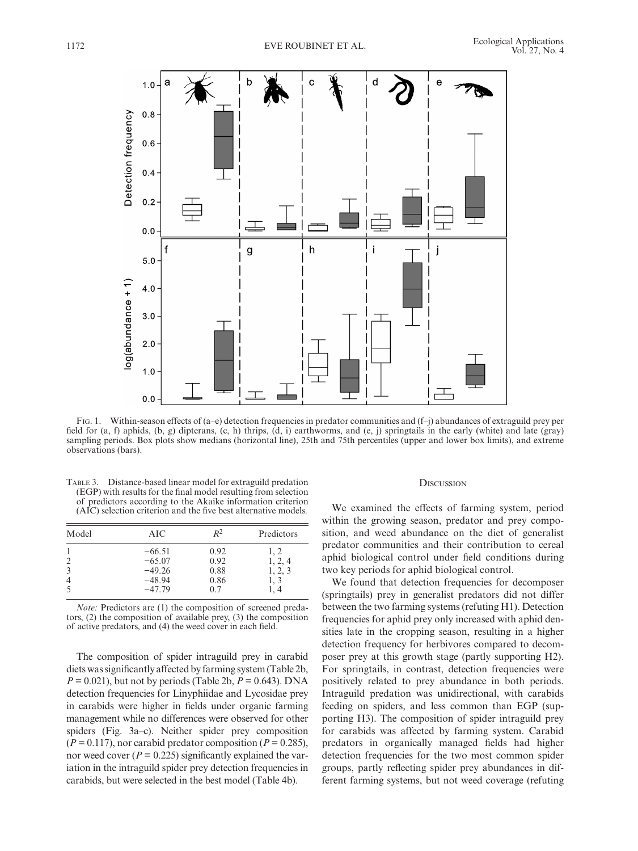

Fig. 1. Within-season effects of (a–e) detection frequencies in predator communities and (f–j) abundances of extraguild prey per field for (a, f) aphids, (b, g) dipterans, (c, h) thrips, (d, i) earthworms, and (e, j) springtails in the early (white) and late (gray) sampling periods. Box plots show medians (horizontal line), 25th and 75th percentiles (upper and lower box limits), and extreme observations (bars).

Table 3. Distance-based linear model for extraguild predation (EGP) with results for the final model resulting from selection of predictors according to the Akaike information criterion (AIC) selection criterion and the five best alternative models.

| Model          | AIC      | $R^2$ | Predictors |
|----------------|----------|-------|------------|
|                | $-66.51$ | 0.92  | 1.2        |
| $\overline{2}$ | $-65.07$ | 0.92  | 1, 2, 4    |
| 3              | $-49.26$ | 0.88  | 1, 2, 3    |
| $\overline{4}$ | $-48.94$ | 0.86  | 1.3        |
| $\overline{5}$ | $-47.79$ | 0.7   |            |

*Note:* Predictors are (1) the composition of screened predators, (2) the composition of available prey, (3) the composition of active predators, and (4) the weed cover in each field.

The composition of spider intraguild prey in carabid diets was significantly affected by farming system (Table 2b,  $P = 0.021$ , but not by periods (Table 2b,  $P = 0.643$ ). DNA detection frequencies for Linyphiidae and Lycosidae prey in carabids were higher in fields under organic farming management while no differences were observed for other spiders (Fig. 3a–c). Neither spider prey composition  $(P = 0.117)$ , nor carabid predator composition  $(P = 0.285)$ , nor weed cover  $(P = 0.225)$  significantly explained the variation in the intraguild spider prey detection frequencies in carabids, but were selected in the best model (Table 4b).

#### **DISCUSSION**

We examined the effects of farming system, period within the growing season, predator and prey composition, and weed abundance on the diet of generalist predator communities and their contribution to cereal aphid biological control under field conditions during two key periods for aphid biological control.

We found that detection frequencies for decomposer (springtails) prey in generalist predators did not differ between the two farming systems (refuting H1). Detection frequencies for aphid prey only increased with aphid densities late in the cropping season, resulting in a higher detection frequency for herbivores compared to decomposer prey at this growth stage (partly supporting H2). For springtails, in contrast, detection frequencies were positively related to prey abundance in both periods. Intraguild predation was unidirectional, with carabids feeding on spiders, and less common than EGP (supporting H3). The composition of spider intraguild prey for carabids was affected by farming system. Carabid predators in organically managed fields had higher detection frequencies for the two most common spider groups, partly reflecting spider prey abundances in different farming systems, but not weed coverage (refuting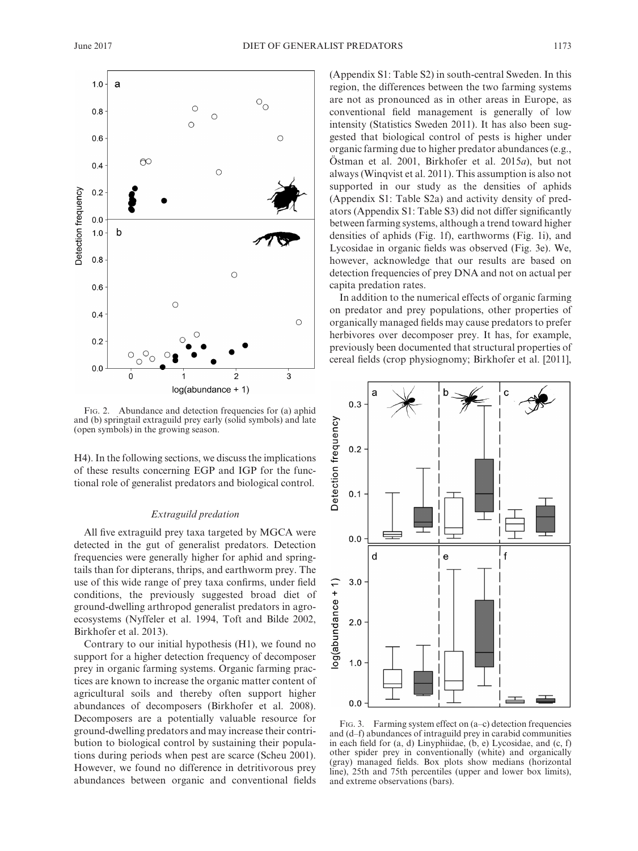

Fig. 2. Abundance and detection frequencies for (a) aphid and (b) springtail extraguild prey early (solid symbols) and late (open symbols) in the growing season.

H4). In the following sections, we discuss the implications of these results concerning EGP and IGP for the functional role of generalist predators and biological control.

# *Extraguild predation*

All five extraguild prey taxa targeted by MGCA were detected in the gut of generalist predators. Detection frequencies were generally higher for aphid and springtails than for dipterans, thrips, and earthworm prey. The use of this wide range of prey taxa confirms, under field conditions, the previously suggested broad diet of ground-dwelling arthropod generalist predators in agroecosystems (Nyffeler et al. 1994, Toft and Bilde 2002, Birkhofer et al. 2013).

Contrary to our initial hypothesis (H1), we found no support for a higher detection frequency of decomposer prey in organic farming systems. Organic farming practices are known to increase the organic matter content of agricultural soils and thereby often support higher abundances of decomposers (Birkhofer et al. 2008). Decomposers are a potentially valuable resource for ground-dwelling predators and may increase their contribution to biological control by sustaining their populations during periods when pest are scarce (Scheu 2001). However, we found no difference in detritivorous prey abundances between organic and conventional fields (Appendix S1: Table S2) in south-central Sweden. In this region, the differences between the two farming systems are not as pronounced as in other areas in Europe, as conventional field management is generally of low intensity (Statistics Sweden 2011). It has also been suggested that biological control of pests is higher under organic farming due to higher predator abundances (e.g., Östman et al. 2001, Birkhofer et al. 2015*a*), but not always (Winqvist et al. 2011). This assumption is also not supported in our study as the densities of aphids (Appendix S1: Table S2a) and activity density of predators (Appendix S1: Table S3) did not differ significantly between farming systems, although a trend toward higher densities of aphids (Fig. 1f), earthworms (Fig. 1i), and Lycosidae in organic fields was observed (Fig. 3e). We, however, acknowledge that our results are based on detection frequencies of prey DNA and not on actual per capita predation rates.

In addition to the numerical effects of organic farming on predator and prey populations, other properties of organically managed fields may cause predators to prefer herbivores over decomposer prey. It has, for example, previously been documented that structural properties of cereal fields (crop physiognomy; Birkhofer et al. [2011],



F<sub>IG.</sub> 3. Farming system effect on  $(a-c)$  detection frequencies and (d–f) abundances of intraguild prey in carabid communities in each field for (a, d) Linyphiidae, (b, e) Lycosidae, and (c, f) other spider prey in conventionally (white) and organically (gray) managed fields. Box plots show medians (horizontal line), 25th and 75th percentiles (upper and lower box limits), and extreme observations (bars).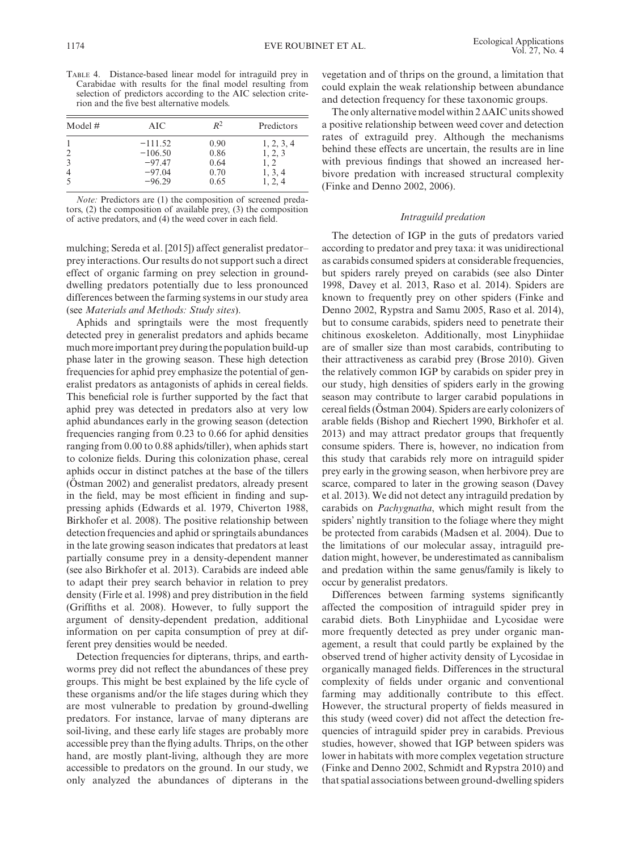Table 4. Distance-based linear model for intraguild prey in Carabidae with results for the final model resulting from selection of predictors according to the AIC selection criterion and the five best alternative models.

| Model $#$           | AIC                                                        | $R^2$                                | Predictors                                          |
|---------------------|------------------------------------------------------------|--------------------------------------|-----------------------------------------------------|
| 3<br>$\overline{4}$ | $-111.52$<br>$-106.50$<br>$-97.47$<br>$-97.04$<br>$-96.29$ | 0.90<br>0.86<br>0.64<br>0.70<br>0.65 | 1, 2, 3, 4<br>1, 2, 3<br>1. 2<br>1, 3, 4<br>1, 2, 4 |

*Note:* Predictors are (1) the composition of screened predators, (2) the composition of available prey, (3) the composition of active predators, and (4) the weed cover in each field.

mulching; Sereda et al. [2015]) affect generalist predator– prey interactions. Our results do not support such a direct effect of organic farming on prey selection in grounddwelling predators potentially due to less pronounced differences between the farming systems in our study area (see *Materials and Methods: Study sites*).

Aphids and springtails were the most frequently detected prey in generalist predators and aphids became much more important prey during the population build-up phase later in the growing season. These high detection frequencies for aphid prey emphasize the potential of generalist predators as antagonists of aphids in cereal fields. This beneficial role is further supported by the fact that aphid prey was detected in predators also at very low aphid abundances early in the growing season (detection frequencies ranging from 0.23 to 0.66 for aphid densities ranging from 0.00 to 0.88 aphids/tiller), when aphids start to colonize fields. During this colonization phase, cereal aphids occur in distinct patches at the base of the tillers (Östman 2002) and generalist predators, already present in the field, may be most efficient in finding and suppressing aphids (Edwards et al. 1979, Chiverton 1988, Birkhofer et al. 2008). The positive relationship between detection frequencies and aphid or springtails abundances in the late growing season indicates that predators at least partially consume prey in a density-dependent manner (see also Birkhofer et al. 2013). Carabids are indeed able to adapt their prey search behavior in relation to prey density (Firle et al. 1998) and prey distribution in the field (Griffiths et al. 2008). However, to fully support the argument of density-dependent predation, additional information on per capita consumption of prey at different prey densities would be needed.

Detection frequencies for dipterans, thrips, and earthworms prey did not reflect the abundances of these prey groups. This might be best explained by the life cycle of these organisms and/or the life stages during which they are most vulnerable to predation by ground-dwelling predators. For instance, larvae of many dipterans are soil-living, and these early life stages are probably more accessible prey than the flying adults. Thrips, on the other hand, are mostly plant-living, although they are more accessible to predators on the ground. In our study, we only analyzed the abundances of dipterans in the

vegetation and of thrips on the ground, a limitation that could explain the weak relationship between abundance and detection frequency for these taxonomic groups.

The only alternative model within 2 ∆AIC units showed a positive relationship between weed cover and detection rates of extraguild prey. Although the mechanisms behind these effects are uncertain, the results are in line with previous findings that showed an increased herbivore predation with increased structural complexity (Finke and Denno 2002, 2006).

## *Intraguild predation*

The detection of IGP in the guts of predators varied according to predator and prey taxa: it was unidirectional as carabids consumed spiders at considerable frequencies, but spiders rarely preyed on carabids (see also Dinter 1998, Davey et al. 2013, Raso et al. 2014). Spiders are known to frequently prey on other spiders (Finke and Denno 2002, Rypstra and Samu 2005, Raso et al. 2014), but to consume carabids, spiders need to penetrate their chitinous exoskeleton. Additionally, most Linyphiidae are of smaller size than most carabids, contributing to their attractiveness as carabid prey (Brose 2010). Given the relatively common IGP by carabids on spider prey in our study, high densities of spiders early in the growing season may contribute to larger carabid populations in cereal fields (Östman 2004). Spiders are early colonizers of arable fields (Bishop and Riechert 1990, Birkhofer et al. 2013) and may attract predator groups that frequently consume spiders. There is, however, no indication from this study that carabids rely more on intraguild spider prey early in the growing season, when herbivore prey are scarce, compared to later in the growing season (Davey et al. 2013). We did not detect any intraguild predation by carabids on *Pachygnatha*, which might result from the spiders' nightly transition to the foliage where they might be protected from carabids (Madsen et al. 2004). Due to the limitations of our molecular assay, intraguild predation might, however, be underestimated as cannibalism and predation within the same genus/family is likely to occur by generalist predators.

Differences between farming systems significantly affected the composition of intraguild spider prey in carabid diets. Both Linyphiidae and Lycosidae were more frequently detected as prey under organic management, a result that could partly be explained by the observed trend of higher activity density of Lycosidae in organically managed fields. Differences in the structural complexity of fields under organic and conventional farming may additionally contribute to this effect. However, the structural property of fields measured in this study (weed cover) did not affect the detection frequencies of intraguild spider prey in carabids. Previous studies, however, showed that IGP between spiders was lower in habitats with more complex vegetation structure (Finke and Denno 2002, Schmidt and Rypstra 2010) and that spatial associations between ground-dwelling spiders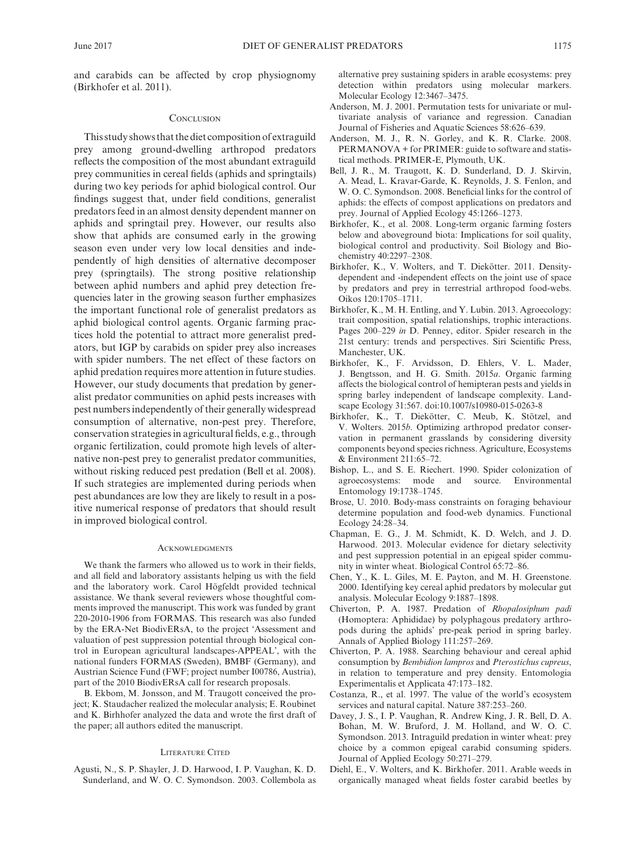and carabids can be affected by crop physiognomy (Birkhofer et al. 2011).

#### **CONCLUSION**

This study shows that the diet composition of extraguild prey among ground-dwelling arthropod predators reflects the composition of the most abundant extraguild prey communities in cereal fields (aphids and springtails) during two key periods for aphid biological control. Our findings suggest that, under field conditions, generalist predators feed in an almost density dependent manner on aphids and springtail prey. However, our results also show that aphids are consumed early in the growing season even under very low local densities and independently of high densities of alternative decomposer prey (springtails). The strong positive relationship between aphid numbers and aphid prey detection frequencies later in the growing season further emphasizes the important functional role of generalist predators as aphid biological control agents. Organic farming practices hold the potential to attract more generalist predators, but IGP by carabids on spider prey also increases with spider numbers. The net effect of these factors on aphid predation requires more attention in future studies. However, our study documents that predation by generalist predator communities on aphid pests increases with pest numbers independently of their generally widespread consumption of alternative, non-pest prey. Therefore, conservation strategies in agricultural fields, e.g., through organic fertilization, could promote high levels of alternative non-pest prey to generalist predator communities, without risking reduced pest predation (Bell et al. 2008). If such strategies are implemented during periods when pest abundances are low they are likely to result in a positive numerical response of predators that should result in improved biological control.

#### ACKNOWLEDGMENTS

We thank the farmers who allowed us to work in their fields, and all field and laboratory assistants helping us with the field and the laboratory work. Carol Högfeldt provided technical assistance. We thank several reviewers whose thoughtful comments improved the manuscript. This work was funded by grant 220-2010-1906 from FORMAS. This research was also funded by the ERA-Net BiodivERsA, to the project 'Assessment and valuation of pest suppression potential through biological control in European agricultural landscapes-APPEAL', with the national funders FORMAS (Sweden), BMBF (Germany), and Austrian Science Fund (FWF; project number I00786, Austria), part of the 2010 BiodivERsA call for research proposals.

B. Ekbom, M. Jonsson, and M. Traugott conceived the project; K. Staudacher realized the molecular analysis; E. Roubinet and K. Birhhofer analyzed the data and wrote the first draft of the paper; all authors edited the manuscript.

#### LITERATURE CITED

Agusti, N., S. P. Shayler, J. D. Harwood, I. P. Vaughan, K. D. Sunderland, and W. O. C. Symondson. 2003. Collembola as alternative prey sustaining spiders in arable ecosystems: prey detection within predators using molecular markers. Molecular Ecology 12:3467–3475.

- Anderson, M. J. 2001. Permutation tests for univariate or multivariate analysis of variance and regression. Canadian Journal of Fisheries and Aquatic Sciences 58:626–639.
- Anderson, M. J., R. N. Gorley, and K. R. Clarke. 2008. PERMANOVA + for PRIMER: guide to software and statistical methods. PRIMER-E, Plymouth, UK.
- Bell, J. R., M. Traugott, K. D. Sunderland, D. J. Skirvin, A. Mead, L. Kravar-Garde, K. Reynolds, J. S. Fenlon, and W. O. C. Symondson. 2008. Beneficial links for the control of aphids: the effects of compost applications on predators and prey. Journal of Applied Ecology 45:1266–1273.
- Birkhofer, K., et al. 2008. Long-term organic farming fosters below and aboveground biota: Implications for soil quality, biological control and productivity. Soil Biology and Biochemistry 40:2297–2308.
- Birkhofer, K., V. Wolters, and T. Diekötter. 2011. Densitydependent and -independent effects on the joint use of space by predators and prey in terrestrial arthropod food-webs. Oikos 120:1705–1711.
- Birkhofer, K., M. H. Entling, and Y. Lubin. 2013. Agroecology: trait composition, spatial relationships, trophic interactions. Pages 200–229 *in* D. Penney, editor. Spider research in the 21st century: trends and perspectives. Siri Scientific Press, Manchester, UK.
- Birkhofer, K., F. Arvidsson, D. Ehlers, V. L. Mader, J. Bengtsson, and H. G. Smith. 2015*a*. Organic farming affects the biological control of hemipteran pests and yields in spring barley independent of landscape complexity. Landscape Ecology 31:567. doi:[10.1007/s10980-015-0263-8](https://doi.org/10.1007/s10980-015-0263-8)
- Birkhofer, K., T. Diekötter, C. Meub, K. Stötzel, and V. Wolters. 2015*b*. Optimizing arthropod predator conservation in permanent grasslands by considering diversity components beyond species richness. Agriculture, Ecosystems & Environment 211:65–72.
- Bishop, L., and S. E. Riechert. 1990. Spider colonization of agroecosystems: mode and source. Environmental Entomology 19:1738–1745.
- Brose, U. 2010. Body-mass constraints on foraging behaviour determine population and food-web dynamics. Functional Ecology 24:28–34.
- Chapman, E. G., J. M. Schmidt, K. D. Welch, and J. D. Harwood. 2013. Molecular evidence for dietary selectivity and pest suppression potential in an epigeal spider community in winter wheat. Biological Control 65:72–86.
- Chen, Y., K. L. Giles, M. E. Payton, and M. H. Greenstone. 2000. Identifying key cereal aphid predators by molecular gut analysis. Molecular Ecology 9:1887–1898.
- Chiverton, P. A. 1987. Predation of *Rhopalosiphum padi* (Homoptera: Aphididae) by polyphagous predatory arthropods during the aphids' pre-peak period in spring barley. Annals of Applied Biology 111:257–269.
- Chiverton, P. A. 1988. Searching behaviour and cereal aphid consumption by *Bembidion lampros* and *Pterostichus cupreus*, in relation to temperature and prey density. Entomologia Experimentalis et Applicata 47:173–182.
- Costanza, R., et al. 1997. The value of the world's ecosystem services and natural capital. Nature 387:253–260.
- Davey, J. S., I. P. Vaughan, R. Andrew King, J. R. Bell, D. A. Bohan, M. W. Bruford, J. M. Holland, and W. O. C. Symondson. 2013. Intraguild predation in winter wheat: prey choice by a common epigeal carabid consuming spiders. Journal of Applied Ecology 50:271–279.
- Diehl, E., V. Wolters, and K. Birkhofer. 2011. Arable weeds in organically managed wheat fields foster carabid beetles by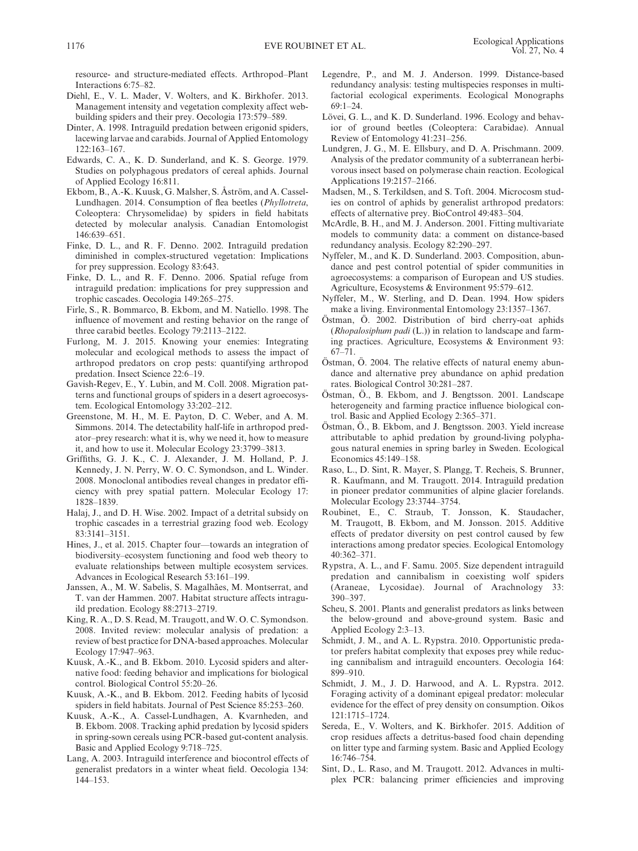resource- and structure-mediated effects. Arthropod–Plant Interactions 6:75–82.

- Diehl, E., V. L. Mader, V. Wolters, and K. Birkhofer. 2013. Management intensity and vegetation complexity affect webbuilding spiders and their prey. Oecologia 173:579–589.
- Dinter, A. 1998. Intraguild predation between erigonid spiders, lacewing larvae and carabids. Journal of Applied Entomology 122:163–167.
- Edwards, C. A., K. D. Sunderland, and K. S. George. 1979. Studies on polyphagous predators of cereal aphids. Journal of Applied Ecology 16:811.
- Ekbom, B., A.-K. Kuusk, G. Malsher, S. Åström, and A. Cassel-Lundhagen. 2014. Consumption of flea beetles (*Phyllotreta*, Coleoptera: Chrysomelidae) by spiders in field habitats detected by molecular analysis. Canadian Entomologist 146:639–651.
- Finke, D. L., and R. F. Denno. 2002. Intraguild predation diminished in complex-structured vegetation: Implications for prey suppression. Ecology 83:643.
- Finke, D. L., and R. F. Denno. 2006. Spatial refuge from intraguild predation: implications for prey suppression and trophic cascades. Oecologia 149:265–275.
- Firle, S., R. Bommarco, B. Ekbom, and M. Natiello. 1998. The influence of movement and resting behavior on the range of three carabid beetles. Ecology 79:2113–2122.
- Furlong, M. J. 2015. Knowing your enemies: Integrating molecular and ecological methods to assess the impact of arthropod predators on crop pests: quantifying arthropod predation. Insect Science 22:6–19.
- Gavish-Regev, E., Y. Lubin, and M. Coll. 2008. Migration patterns and functional groups of spiders in a desert agroecosystem. Ecological Entomology 33:202–212.
- Greenstone, M. H., M. E. Payton, D. C. Weber, and A. M. Simmons. 2014. The detectability half-life in arthropod predator–prey research: what it is, why we need it, how to measure it, and how to use it. Molecular Ecology 23:3799–3813.
- Griffiths, G. J. K., C. J. Alexander, J. M. Holland, P. J. Kennedy, J. N. Perry, W. O. C. Symondson, and L. Winder. 2008. Monoclonal antibodies reveal changes in predator efficiency with prey spatial pattern. Molecular Ecology 17: 1828–1839.
- Halaj, J., and D. H. Wise. 2002. Impact of a detrital subsidy on trophic cascades in a terrestrial grazing food web. Ecology 83:3141–3151.
- Hines, J., et al. 2015. Chapter four—towards an integration of biodiversity–ecosystem functioning and food web theory to evaluate relationships between multiple ecosystem services. Advances in Ecological Research 53:161–199.
- Janssen, A., M. W. Sabelis, S. Magalhães, M. Montserrat, and T. van der Hammen. 2007. Habitat structure affects intraguild predation. Ecology 88:2713–2719.
- King, R. A., D. S. Read, M. Traugott, and W. O. C. Symondson. 2008. Invited review: molecular analysis of predation: a review of best practice for DNA-based approaches. Molecular Ecology 17:947–963.
- Kuusk, A.-K., and B. Ekbom. 2010. Lycosid spiders and alternative food: feeding behavior and implications for biological control. Biological Control 55:20–26.
- Kuusk, A.-K., and B. Ekbom. 2012. Feeding habits of lycosid spiders in field habitats. Journal of Pest Science 85:253–260.
- Kuusk, A.-K., A. Cassel-Lundhagen, A. Kvarnheden, and B. Ekbom. 2008. Tracking aphid predation by lycosid spiders in spring-sown cereals using PCR-based gut-content analysis. Basic and Applied Ecology 9:718–725.
- Lang, A. 2003. Intraguild interference and biocontrol effects of generalist predators in a winter wheat field. Oecologia 134: 144–153.
- Legendre, P., and M. J. Anderson. 1999. Distance-based redundancy analysis: testing multispecies responses in multifactorial ecological experiments. Ecological Monographs  $69.1 - 24$
- Lövei, G. L., and K. D. Sunderland. 1996. Ecology and behavior of ground beetles (Coleoptera: Carabidae). Annual Review of Entomology 41:231–256.
- Lundgren, J. G., M. E. Ellsbury, and D. A. Prischmann. 2009. Analysis of the predator community of a subterranean herbivorous insect based on polymerase chain reaction. Ecological Applications 19:2157–2166.
- Madsen, M., S. Terkildsen, and S. Toft. 2004. Microcosm studies on control of aphids by generalist arthropod predators: effects of alternative prey. BioControl 49:483–504.
- McArdle, B. H., and M. J. Anderson. 2001. Fitting multivariate models to community data: a comment on distance-based redundancy analysis. Ecology 82:290–297.
- Nyffeler, M., and K. D. Sunderland. 2003. Composition, abundance and pest control potential of spider communities in agroecosystems: a comparison of European and US studies. Agriculture, Ecosystems & Environment 95:579–612.
- Nyffeler, M., W. Sterling, and D. Dean. 1994. How spiders make a living. Environmental Entomology 23:1357–1367.
- Östman, Ö. 2002. Distribution of bird cherry-oat aphids (*Rhopalosiphum padi* (L.)) in relation to landscape and farming practices. Agriculture, Ecosystems & Environment 93: 67–71.
- Östman, Ö. 2004. The relative effects of natural enemy abundance and alternative prey abundance on aphid predation rates. Biological Control 30:281–287.
- Östman, Ö., B. Ekbom, and J. Bengtsson. 2001. Landscape heterogeneity and farming practice influence biological control. Basic and Applied Ecology 2:365–371.
- Östman, Ö., B. Ekbom, and J. Bengtsson. 2003. Yield increase attributable to aphid predation by ground-living polyphagous natural enemies in spring barley in Sweden. Ecological Economics 45:149–158.
- Raso, L., D. Sint, R. Mayer, S. Plangg, T. Recheis, S. Brunner, R. Kaufmann, and M. Traugott. 2014. Intraguild predation in pioneer predator communities of alpine glacier forelands. Molecular Ecology 23:3744–3754.
- Roubinet, E., C. Straub, T. Jonsson, K. Staudacher, M. Traugott, B. Ekbom, and M. Jonsson. 2015. Additive effects of predator diversity on pest control caused by few interactions among predator species. Ecological Entomology 40:362–371.
- Rypstra, A. L., and F. Samu. 2005. Size dependent intraguild predation and cannibalism in coexisting wolf spiders (Araneae, Lycosidae). Journal of Arachnology 33: 390–397.
- Scheu, S. 2001. Plants and generalist predators as links between the below-ground and above-ground system. Basic and Applied Ecology 2:3–13.
- Schmidt, J. M., and A. L. Rypstra. 2010. Opportunistic predator prefers habitat complexity that exposes prey while reducing cannibalism and intraguild encounters. Oecologia 164: 899–910.
- Schmidt, J. M., J. D. Harwood, and A. L. Rypstra. 2012. Foraging activity of a dominant epigeal predator: molecular evidence for the effect of prey density on consumption. Oikos 121:1715–1724.
- Sereda, E., V. Wolters, and K. Birkhofer. 2015. Addition of crop residues affects a detritus-based food chain depending on litter type and farming system. Basic and Applied Ecology 16:746–754.
- Sint, D., L. Raso, and M. Traugott. 2012. Advances in multiplex PCR: balancing primer efficiencies and improving